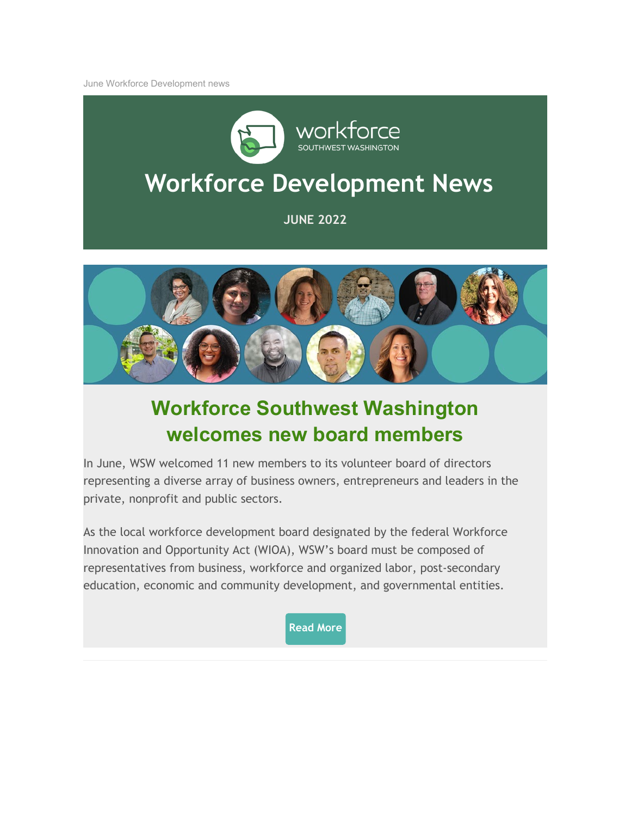June Workforce Development news



# **Workforce Development News**

**JUNE 2022**



## **Workforce Southwest Washington welcomes new board members**

In June, WSW welcomed 11 new members to its volunteer board of directors representing a diverse array of business owners, entrepreneurs and leaders in the private, nonprofit and public sectors.

As the local workforce development board designated by the federal Workforce Innovation and Opportunity Act (WIOA), WSW's board must be composed of representatives from business, workforce and organized labor, post-secondary education, economic and community development, and governmental entities.

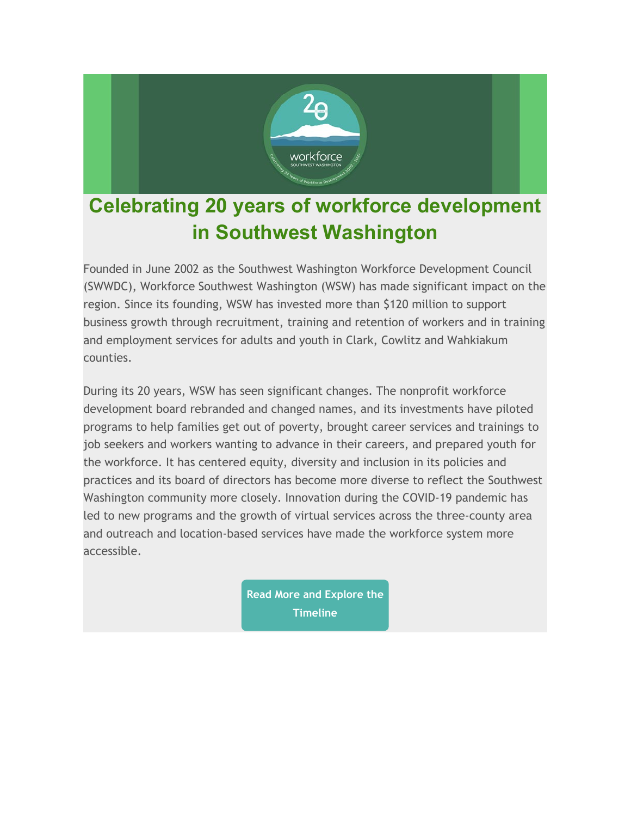

## **Celebrating 20 years of workforce development in Southwest Washington**

Founded in June 2002 as the Southwest Washington Workforce Development Council (SWWDC), Workforce Southwest Washington (WSW) has made significant impact on the region. Since its founding, WSW has invested more than \$120 million to support business growth through recruitment, training and retention of workers and in training and employment services for adults and youth in Clark, Cowlitz and Wahkiakum counties.

During its 20 years, WSW has seen significant changes. The nonprofit workforce development board rebranded and changed names, and its investments have piloted programs to help families get out of poverty, brought career services and trainings to job seekers and workers wanting to advance in their careers, and prepared youth for the workforce. It has centered equity, diversity and inclusion in its policies and practices and its board of directors has become more diverse to reflect the Southwest Washington community more closely. Innovation during the COVID-19 pandemic has led to new programs and the growth of virtual services across the three-county area and outreach and location-based services have made the workforce system more accessible.

> **[Read More and Explore the](https://workforcesouthwestwashington.cmail19.com/t/r-i-tythluhd-l-i/) Timeline**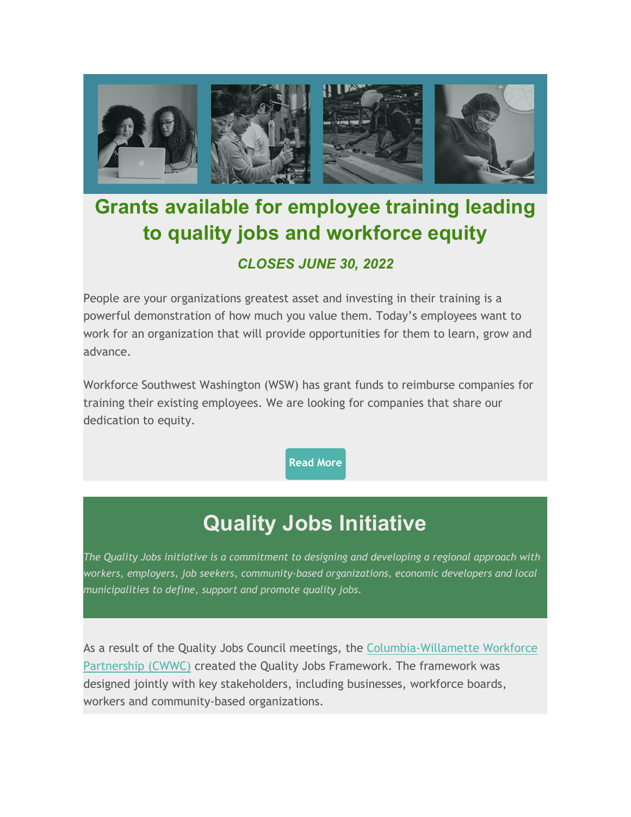

## **Grants available for employee training leading to quality jobs and workforce equity** *CLOSES JUNE 30, 2022*

People are your organizations greatest asset and investing in their training is a powerful demonstration of how much you value them. Today's employees want to work for an organization that will provide opportunities for them to learn, grow and advance.

Workforce Southwest Washington (WSW) has grant funds to reimburse companies for training their existing employees. We are looking for companies that share our dedication to equity.

**[Read More](https://workforcesouthwestwashington.cmail19.com/t/r-i-tythluhd-l-h/)**

## **Quality Jobs Initiative**

*The Quality Jobs initiative is a commitment to designing and developing a regional approach with workers, employers, job seekers, community-based organizations, economic developers and local municipalities to define, support and promote quality jobs.*

As a result of the Quality Jobs Council meetings, the [Columbia-Willamette Workforce](https://workforcesouthwestwashington.cmail19.com/t/r-i-tythluhd-l-k/)  [Partnership \(CWWC\)](https://workforcesouthwestwashington.cmail19.com/t/r-i-tythluhd-l-k/) created the Quality Jobs Framework. The framework was designed jointly with key stakeholders, including businesses, workforce boards, workers and community-based organizations.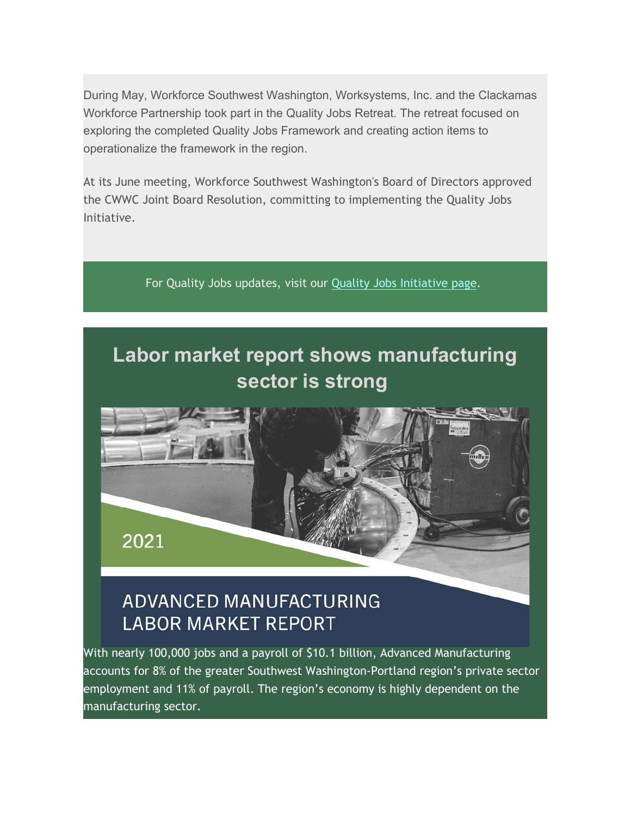During May, Workforce Southwest Washington, Worksystems, Inc. and the Clackamas Workforce Partnership took part in the Quality Jobs Retreat. The retreat focused on exploring the completed Quality Jobs Framework and creating action items to operationalize the framework in the region.

At its June meeting, Workforce Southwest Washington's Board of Directors approved the CWWC Joint Board Resolution, committing to implementing the Quality Jobs Initiative.

For Quality Jobs updates, visit our [Quality Jobs Initiative page.](https://workforcesouthwestwashington.cmail19.com/t/r-i-tythluhd-l-u/)

## **Labor market report shows manufacturing sector is strong**



### ADVANCED MANUFACTURING **LABOR MARKET REPORT**

With nearly 100,000 jobs and a payroll of \$10.1 billion, Advanced Manufacturing accounts for 8% of the greater Southwest Washington-Portland region's private sector employment and 11% of payroll. The region's economy is highly dependent on the manufacturing sector.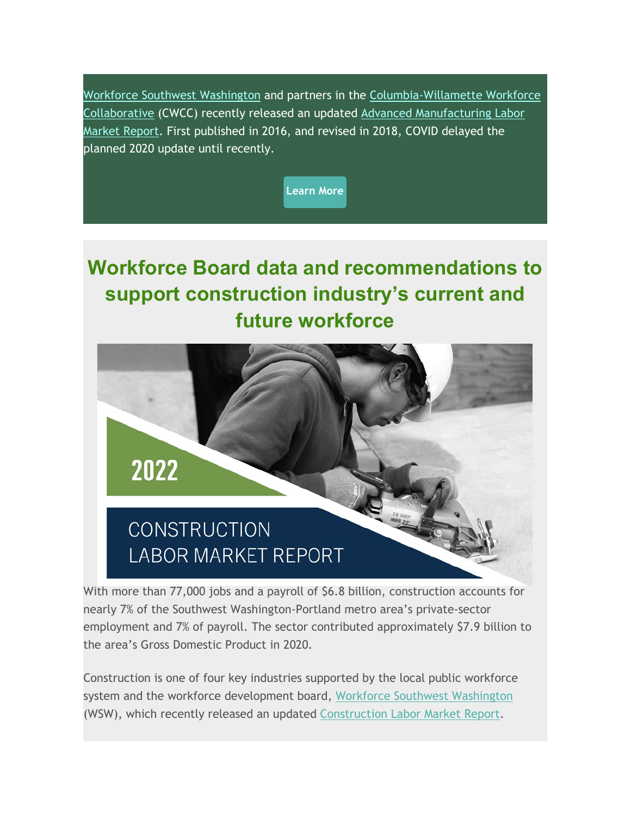[Workforce Southwest Washington](https://workforcesouthwestwashington.cmail19.com/t/r-i-tythluhd-l-b/) and partners in the [Columbia-Willamette Workforce](https://workforcesouthwestwashington.cmail19.com/t/r-i-tythluhd-l-n/)  [Collaborative](https://workforcesouthwestwashington.cmail19.com/t/r-i-tythluhd-l-n/) (CWCC) recently released an updated Advanced Manufacturing Labor [Market Report.](https://workforcesouthwestwashington.cmail19.com/t/r-i-tythluhd-l-p/) First published in 2016, and revised in 2018, COVID delayed the planned 2020 update until recently.



## **Workforce Board data and recommendations to support construction industry's current and future workforce**



With more than 77,000 jobs and a payroll of \$6.8 billion, construction accounts for nearly 7% of the Southwest Washington-Portland metro area's private-sector employment and 7% of payroll. The sector contributed approximately \$7.9 billion to the area's Gross Domestic Product in 2020.

Construction is one of four key industries supported by the local public workforce system and the workforce development board, [Workforce Southwest Washington](https://workforcesouthwestwashington.cmail19.com/t/r-i-tythluhd-l-c/) (WSW), which recently released an updated [Construction Labor Market Report.](https://workforcesouthwestwashington.cmail19.com/t/r-i-tythluhd-l-q/)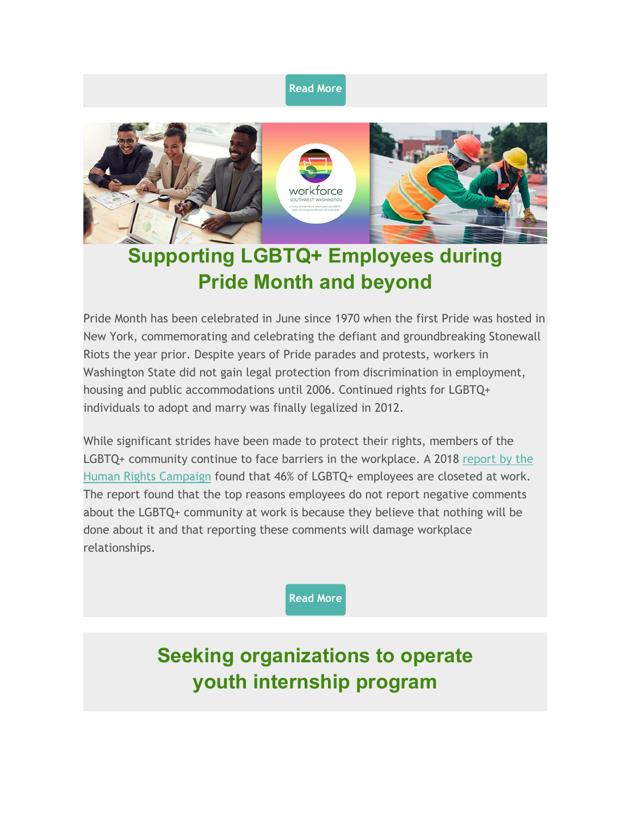#### **[Read More](https://workforcesouthwestwashington.cmail19.com/t/r-i-tythluhd-l-a/)**



## **Supporting LGBTQ+ Employees during Pride Month and beyond**

Pride Month has been celebrated in June since 1970 when the first Pride was hosted in New York, commemorating and celebrating the defiant and groundbreaking Stonewall Riots the year prior. Despite years of Pride parades and protests, workers in Washington State did not gain legal protection from discrimination in employment, housing and public accommodations until 2006. Continued rights for LGBTQ+ individuals to adopt and marry was finally legalized in 2012.

While significant strides have been made to protect their rights, members of the LGBTQ+ community continue to face barriers in the workplace. A 2018 [report by the](https://workforcesouthwestwashington.cmail19.com/t/r-i-tythluhd-l-z/)  [Human Rights Campaign](https://workforcesouthwestwashington.cmail19.com/t/r-i-tythluhd-l-z/) found that 46% of LGBTQ+ employees are closeted at work. The report found that the top reasons employees do not report negative comments about the LGBTQ+ community at work is because they believe that nothing will be done about it and that reporting these comments will damage workplace relationships.

**[Read More](https://workforcesouthwestwashington.cmail19.com/t/r-i-tythluhd-l-v/)**

## **Seeking organizations to operate youth internship program**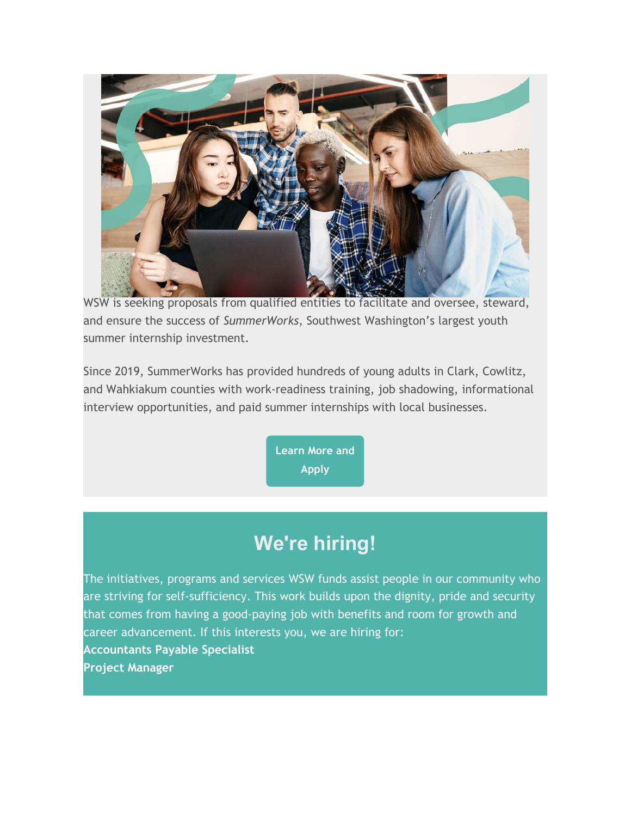

WSW is seeking proposals from qualified entities to facilitate and oversee, steward, and ensure the success of *SummerWorks*, Southwest Washington's largest youth summer internship investment.

Since 2019, SummerWorks has provided hundreds of young adults in Clark, Cowlitz, and Wahkiakum counties with work-readiness training, job shadowing, informational interview opportunities, and paid summer internships with local businesses.

> **[Learn More and](https://workforcesouthwestwashington.cmail19.com/t/r-i-tythluhd-l-s/)  Apply**

## **We're hiring!**

The initiatives, programs and services WSW funds assist people in our community who are striving for self-sufficiency. This work builds upon the dignity, pride and security that comes from having a good-paying job with benefits and room for growth and career advancement. If this interests you, we are hiring for: **Accountants Payable Specialist Project Manager**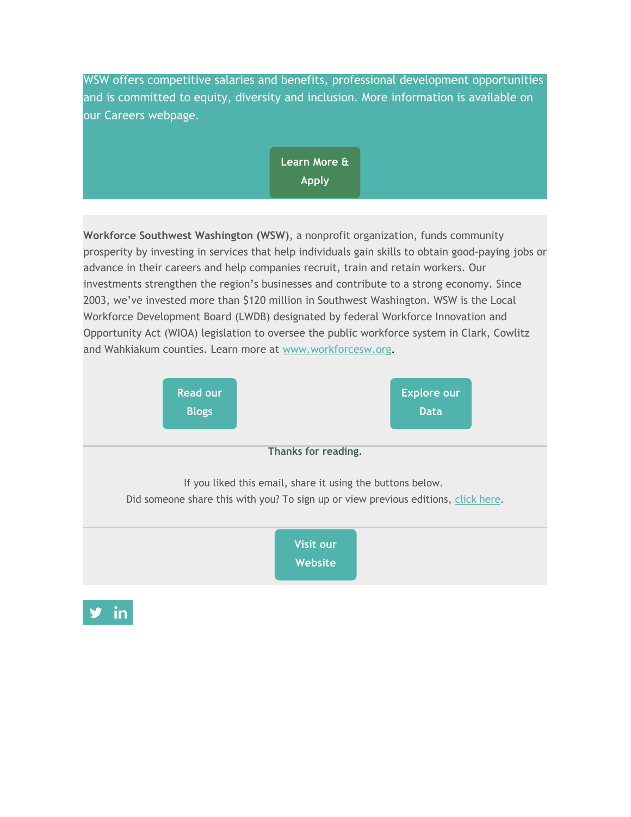